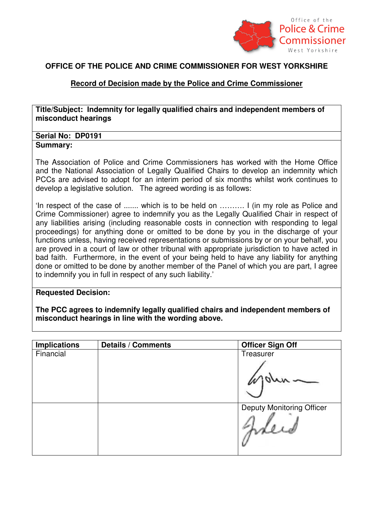

## **OFFICE OF THE POLICE AND CRIME COMMISSIONER FOR WEST YORKSHIRE**

## **Record of Decision made by the Police and Crime Commissioner**

**Title/Subject: Indemnity for legally qualified chairs and independent members of misconduct hearings** 

#### **Serial No: DP0191 Summary:**

The Association of Police and Crime Commissioners has worked with the Home Office and the National Association of Legally Qualified Chairs to develop an indemnity which PCCs are advised to adopt for an interim period of six months whilst work continues to develop a legislative solution. The agreed wording is as follows:

'In respect of the case of ....... which is to be held on ………. I (in my role as Police and Crime Commissioner) agree to indemnify you as the Legally Qualified Chair in respect of any liabilities arising (including reasonable costs in connection with responding to legal proceedings) for anything done or omitted to be done by you in the discharge of your functions unless, having received representations or submissions by or on your behalf, you are proved in a court of law or other tribunal with appropriate jurisdiction to have acted in bad faith. Furthermore, in the event of your being held to have any liability for anything done or omitted to be done by another member of the Panel of which you are part, I agree to indemnify you in full in respect of any such liability.'

### **Requested Decision:**

**The PCC agrees to indemnify legally qualified chairs and independent members of misconduct hearings in line with the wording above.**

| <b>Implications</b> | <b>Details / Comments</b> | <b>Officer Sign Off</b>          |
|---------------------|---------------------------|----------------------------------|
| Financial           |                           | Treasurer                        |
|                     |                           |                                  |
|                     |                           | <b>Deputy Monitoring Officer</b> |
|                     |                           | pe.                              |